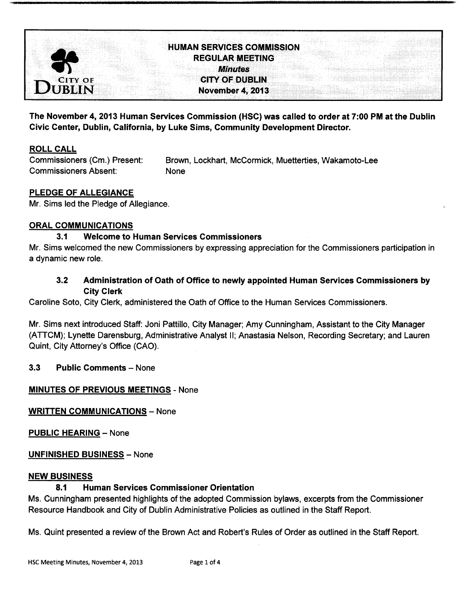

# HUMAN SERVICES COMMISSION REGULAR MEETING Minutes **CITY OF DUBLIN** November 4, 2013

The November 4, 2013 Human Services Commission (HSC) was called to order at 7: 00 PM at the Dublin Civic Center, Dublin, California, by Luke Sims, Community Development Director.

# ROLL CALL

Commissioners Absent: None

Commissioners (Cm.) Present: Brown, Lockhart, McCormick, Muetterties, Wakamoto-Lee

# PLEDGE OF ALLEGIANCE

Mr. Sims led the Pledge of Allegiance.

## ORAL COMMUNICATIONS

#### 3.1 Welcome to Human Services Commissioners

Mr. Sims welcomed the new Commissioners by expressing appreciation for the Commissioners participation in a dynamic new role.

# 3.2 Administration of Oath of Office to newly appointed Human Services Commissioners by City Clerk

Caroline Soto, City Clerk, administered the Oath of Office to the Human Services Commissioners.

Mr. Sims next introduced Staff: Joni Pattillo, City Manager; Amy Cunningham, Assistant to the City Manager ATTCM); Lynette Darensburg, Administrative Analyst II; Anastasia Nelson, Recording Secretary; and Lauren Quint, City Attorney's Office (CAO).

## 3. 3 Public Comments — None

## MINUTES OF PREVIOUS MEETINGS - None

WRITTEN COMMUNICATIONS — None

PUBLIC HEARING — None

UNFINISHED BUSINESS — None

#### NEW BUSINESS

#### 8.1 Human Services Commissioner Orientation

Ms. Cunningham presented highlights of the adopted Commission bylaws, excerpts from the Commissioner Resource Handbook and City of Dublin Administrative Policies as outlined in the Staff Report.

Ms. Quint presented a review of the Brown Act and Robert's Rules of Order as outlined in the Staff Report.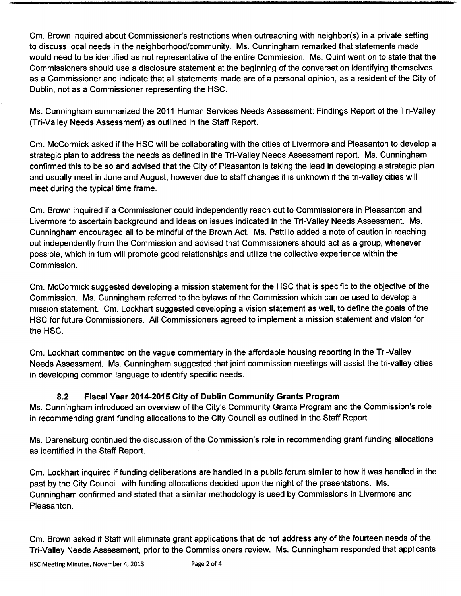Cm. Brown inquired about Commissioner's restrictions when outreaching with neighbor(s) in a private setting to discuss local needs in the neighborhood/community. Ms. Cunningham remarked that statements made would need to be identified as not representative of the entire Commission. Ms. Quint went on to state that the Commissioners should use a disclosure statement at the beginning of the conversation identifying themselves as a Commissioner and indicate that all statements made are of a personal opinion, as a resident of the City of Dublin, not as a Commissioner representing the HSC.

Ms. Cunningham summarized the 2011 Human Services Needs Assessment: Findings Report of the Tri-Valley Tri-Valley Needs Assessment) as outlined in the Staff Report.

Cm. McCormick asked if the HSC will be collaborating with the cities of Livermore and Pleasanton to develop a strategic plan to address the needs as defined in the Tri-Valley Needs Assessment report. Ms. Cunningham confirmed this to be so and advised that the City of Pleasanton is taking the lead in developing a strategic plan and usually meet in June and August, however due to staff changes it is unknown if the tri-valley cities will meet during the typical time frame.

Cm. Brown inquired if a Commissioner could independently reach out to Commissioners in Pleasanton and Livermore to ascertain background and ideas on issues indicated in the Tri-Valley Needs Assessment. Ms. Cunningham encouraged all to be mindful of the Brown Act. Ms. Pattillo added a note of caution in reaching out independently from the Commission and advised that Commissioners should act as a group, whenever possible, which in turn will promote good relationships and utilize the collective experience within the Commission.

Cm. McCormick suggested developing a mission statement for the HSC that is specific to the objective of the Commission. Ms. Cunningham referred to the bylaws of the Commission which can be used to develop a mission statement. Cm. Lockhart suggested developing a vision statement as well, to define the goals of the HSC for future Commissioners. All Commissioners agreed to implement a mission statement and vision for the HSC.

Cm. Lockhart commented on the vague commentary in the affordable housing reporting in the Tri-Valley Needs Assessment. Ms. Cunningham suggested that joint commission meetings will assist the tri-valley cities in developing common language to identify specific needs.

# 8.2 Fiscal Year 2014-2015 City of Dublin Community Grants Program

Ms. Cunningham introduced an overview of the City's Community Grants Program and the Commission's role in recommending grant funding allocations to the City Council as outlined in the Staff Report.

Ms. Darensburg continued the discussion of the Commission's role in recommending grant funding allocations as identified in the Staff Report.

Cm. Lockhart inquired if funding deliberations are handled in a public forum similar to how it was handled in the past by the City Council, with funding allocations decided upon the night of the presentations. Ms. Cunningham confirmed and stated that a similar methodology is used by Commissions in Livermore and Pleasanton.

Cm. Brown asked if Staff will eliminate grant applications that do not address any of the fourteen needs of the Tri-Valley Needs Assessment, prior to the Commissioners review. Ms. Cunningham responded that applicants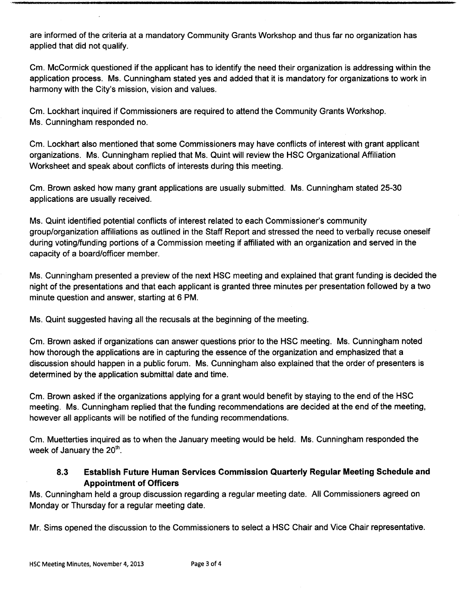are informed of the criteria at a mandatory Community Grants Workshop and thus far no organization has applied that did not qualify.

Cm. McCormick questioned if the applicant has to identify the need their organization is addressing within the application process. Ms. Cunningham stated yes and added that it is mandatory for organizations to work in harmony with the City's mission, vision and values.

Cm. Lockhart inquired if Commissioners are required to attend the Community Grants Workshop. Ms. Cunningham responded no.

Cm. Lockhart also mentioned that some Commissioners may have conflicts of interest with grant applicant organizations. Ms. Cunningham replied that Ms. Quint will review the HSC Organizational Affiliation Worksheet and speak about conflicts of interests during this meeting.

Cm. Brown asked how many grant applications are usually submitted. Ms. Cunningham stated 25-30 applications are usually received.

Ms. Quint identified potential conflicts of interest related to each Commissioner's community group/organization affiliations as outlined in the Staff Report and stressed the need to verbally recuse oneself during voting/funding portions of a Commission meeting if affiliated with an organization and served in the capacity of a board/officer member.

Ms. Cunningham presented a preview of the next HSC meeting and explained that grant funding is decided the night of the presentations and that each applicant is granted three minutes per presentation followed by a two minute question and answer, starting at 6 PM.

Ms. Quint suggested having all the recusals at the beginning of the meeting.

Cm. Brown asked if organizations can answer questions prior to the HSC meeting. Ms. Cunningham noted how thorough the applications are in capturing the essence of the organization and emphasized that a discussion should happen in a public forum. Ms. Cunningham also explained that the order of presenters is determined by the application submittal date and time.

Cm. Brown asked if the organizations applying for a grant would benefit by staying to the end of the HSC meeting. Ms. Cunningham replied that the funding recommendations are decided at the end of the meeting, however all applicants will be notified of the funding recommendations.

Cm. Muetterties inquired as to when the January meeting would be held. Ms. Cunningham responded the week of January the  $20<sup>th</sup>$ .

# 8.3 Establish Future Human Services Commission Quarterly Regular Meeting Schedule and Appointment of Officers

Ms. Cunningham held a group discussion regarding a regular meeting date. All Commissioners agreed on Monday or Thursday for a regular meeting date.

Mr. Sims opened the discussion to the Commissioners to select a HSC Chair and Vice Chair representative.